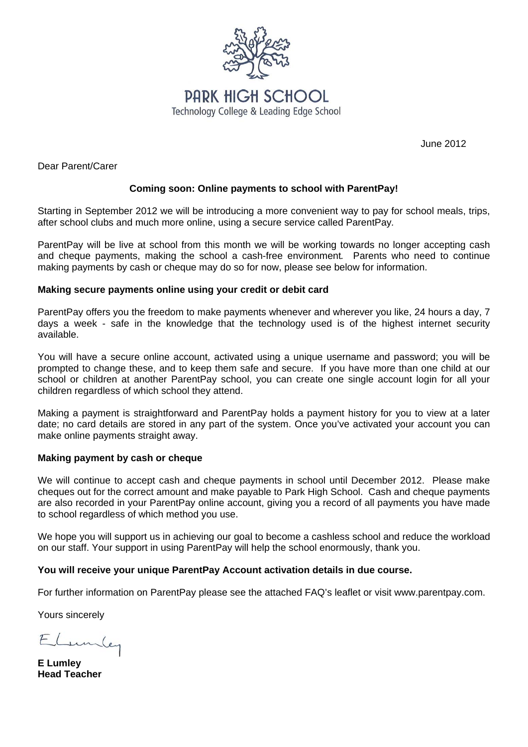

June 2012

Dear Parent/Carer

# **Coming soon: Online payments to school with ParentPay!**

Starting in September 2012 we will be introducing a more convenient way to pay for school meals, trips, after school clubs and much more online, using a secure service called ParentPay*.* 

ParentPay will be live at school from this month we will be working towards no longer accepting cash and cheque payments, making the school a cash-free environment*.* Parents who need to continue making payments by cash or cheque may do so for now, please see below for information.

## **Making secure payments online using your credit or debit card**

ParentPay offers you the freedom to make payments whenever and wherever you like, 24 hours a day, 7 days a week - safe in the knowledge that the technology used is of the highest internet security available.

You will have a secure online account, activated using a unique username and password; you will be prompted to change these, and to keep them safe and secure. If you have more than one child at our school or children at another ParentPay school, you can create one single account login for all your children regardless of which school they attend.

Making a payment is straightforward and ParentPay holds a payment history for you to view at a later date; no card details are stored in any part of the system. Once you've activated your account you can make online payments straight away.

## **Making payment by cash or cheque**

We will continue to accept cash and cheque payments in school until December 2012. Please make cheques out for the correct amount and make payable to Park High School. Cash and cheque payments are also recorded in your ParentPay online account, giving you a record of all payments you have made to school regardless of which method you use.

We hope you will support us in achieving our goal to become a cashless school and reduce the workload on our staff. Your support in using ParentPay will help the school enormously, thank you.

## **You will receive your unique ParentPay Account activation details in due course.**

For further information on ParentPay please see the attached FAQ's leaflet or visit www.parentpay.com.

Yours sincerely

Lumler

**E Lumley Head Teacher**